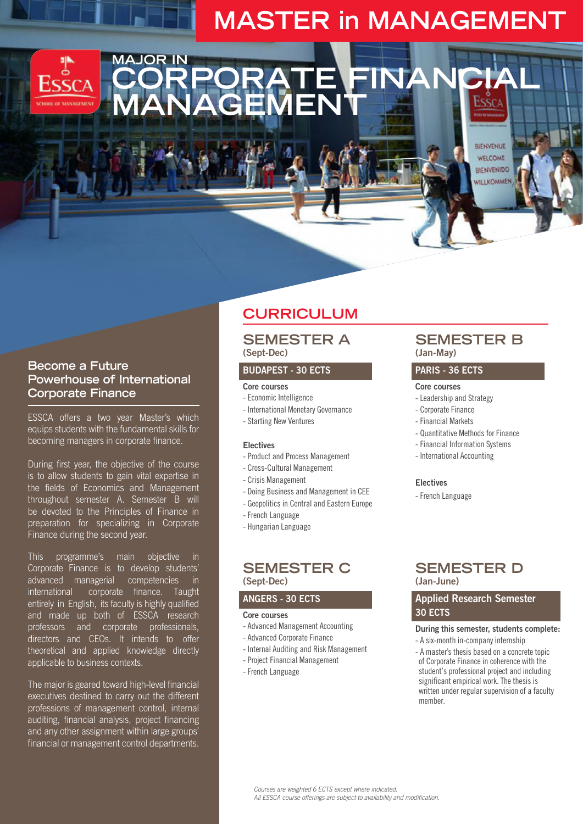# **MASTER in MANAGEMENT**

**CORPORATE FINANCIAL** 

### **Become a Future Powerhouse of International Corporate Finance**

**MAJOR IN**

ESSCA offers a two year Master's which equips students with the fundamental skills for becoming managers in corporate finance.

During first year, the objective of the course is to allow students to gain vital expertise in the fields of Economics and Management throughout semester A. Semester B will be devoted to the Principles of Finance in preparation for specializing in Corporate Finance during the second year.

This programme's main objective in Corporate Finance is to develop students' advanced managerial competencies in international corporate finance. Taught entirely in English, its faculty is highly qualified and made up both of ESSCA research professors and corporate professionals, directors and CEOs. It intends to offer theoretical and applied knowledge directly applicable to business contexts.

The major is geared toward high-level financial executives destined to carry out the different professions of management control, internal auditing, financial analysis, project financing and any other assignment within large groups' financial or management control departments.

## **CURRICULUM**

### **SEMESTER A (Sept-Dec)**

#### **BUDAPEST - 30 ECTS**

#### **Core courses**

**MANAGEMENT**

- Economic Intelligence
- International Monetary Governance
- Starting New Ventures

#### **Electives**

- Product and Process Management
- Cross-Cultural Management
- Crisis Management
- Doing Business and Management in CEE
- Geopolitics in Central and Eastern Europe
- French Language
- Hungarian Language

#### **SEMESTER C (Sept-Dec)**

#### **ANGERS - 30 ECTS**

#### **Core courses**

- Advanced Management Accounting
- Advanced Corporate Finance
- Internal Auditing and Risk Management
- Project Financial Management
- French Language

### **SEMESTER B (Jan-May)**

BIENVENUE WELCOME **BIENVENIDO** WILLKOMMEN

#### **PARIS - 36 ECTS**

#### **Core courses**

- Leadership and Strategy
- Corporate Finance
- Financial Markets
- Quantitative Methods for Finance
- Financial Information Systems
- International Accounting

#### **Electives**

- French Language

### **SEMESTER D (Jan-June)**

### **Applied Research Semester 30 ECTS**

#### **During this semester, students complete:**

- A six-month in-company internship
- A master's thesis based on a concrete topic of Corporate Finance in coherence with the student's professional project and including significant empirical work. The thesis is written under regular supervision of a faculty member.